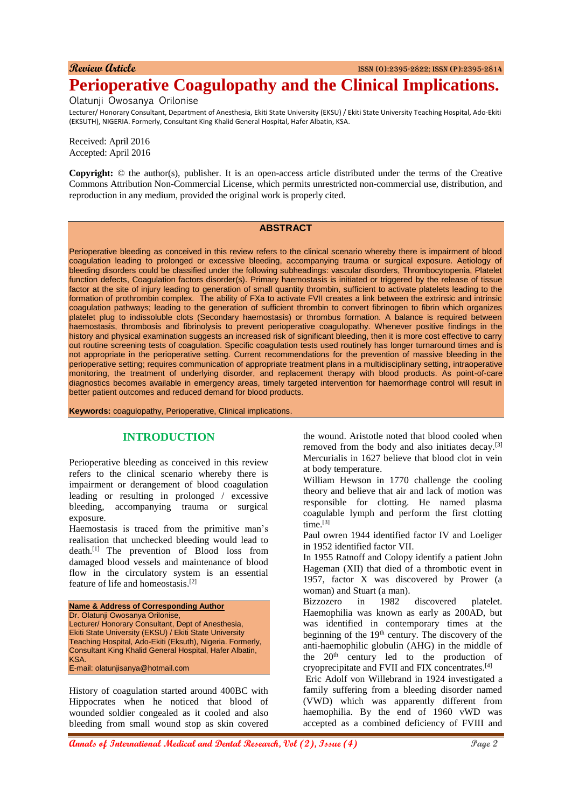# **Review Article** ISSN (O):2395-2822; ISSN (P):2395-2814 **Perioperative Coagulopathy and the Clinical Implications.**

Olatunji Owosanya Orilonise

Lecturer/ Honorary Consultant, Department of Anesthesia, Ekiti State University (EKSU) / Ekiti State University Teaching Hospital, Ado-Ekiti (EKSUTH), NIGERIA. Formerly, Consultant King Khalid General Hospital, Hafer Albatin, KSA.

Received: April 2016 Accepted: April 2016

**Copyright:** © the author(s), publisher. It is an open-access article distributed under the terms of the Creative Commons Attribution Non-Commercial License, which permits unrestricted non-commercial use, distribution, and reproduction in any medium, provided the original work is properly cited.

#### **ABSTRACT**

Perioperative bleeding as conceived in this review refers to the clinical scenario whereby there is impairment of blood coagulation leading to prolonged or excessive bleeding, accompanying trauma or surgical exposure. Aetiology of bleeding disorders could be classified under the following subheadings: vascular disorders, Thrombocytopenia, Platelet function defects, Coagulation factors disorder(s). Primary haemostasis is initiated or triggered by the release of tissue factor at the site of injury leading to generation of small quantity thrombin, sufficient to activate platelets leading to the formation of prothrombin complex. The ability of FXa to activate FVII creates a link between the extrinsic and intrinsic coagulation pathways; leading to the generation of sufficient thrombin to convert fibrinogen to fibrin which organizes platelet plug to indissoluble clots (Secondary haemostasis) or thrombus formation. A balance is required between haemostasis, thrombosis and fibrinolysis to prevent perioperative coagulopathy. Whenever positive findings in the history and physical examination suggests an increased risk of significant bleeding, then it is more cost effective to carry out routine screening tests of coagulation. Specific coagulation tests used routinely has longer turnaround times and is not appropriate in the perioperative setting. Current recommendations for the prevention of massive bleeding in the perioperative setting; requires communication of appropriate treatment plans in a multidisciplinary setting, intraoperative monitoring, the treatment of underlying disorder, and replacement therapy with blood products. As point-of-care diagnostics becomes available in emergency areas, timely targeted intervention for haemorrhage control will result in better patient outcomes and reduced demand for blood products.

**Keywords:** coagulopathy, Perioperative, Clinical implications.

## **INTRODUCTION**

Perioperative bleeding as conceived in this review refers to the clinical scenario whereby there is impairment or derangement of blood coagulation leading or resulting in prolonged / excessive bleeding, accompanying trauma or surgical exposure.

Haemostasis is traced from the primitive man's realisation that unchecked bleeding would lead to death.[1] The prevention of Blood loss from damaged blood vessels and maintenance of blood flow in the circulatory system is an essential feature of life and homeostasis. [2]

**Name & Address of Corresponding Author** Dr. Olatunji Owosanya Orilonise, Lecturer/ Honorary Consultant, Dept of Anesthesia, Ekiti State University (EKSU) / Ekiti State University Teaching Hospital, Ado-Ekiti (Eksuth), Nigeria. Formerly, Consultant King Khalid General Hospital, Hafer Albatin, KSA. E-mail: olatunjisanya@hotmail.com

History of coagulation started around 400BC with Hippocrates when he noticed that blood of wounded soldier congealed as it cooled and also bleeding from small wound stop as skin covered the wound. Aristotle noted that blood cooled when removed from the body and also initiates decay.<sup>[3]</sup> Mercurialis in 1627 believe that blood clot in vein at body temperature.

William Hewson in 1770 challenge the cooling theory and believe that air and lack of motion was responsible for clotting. He named plasma coagulable lymph and perform the first clotting  $time<sup>[3]</sup>$ 

Paul owren 1944 identified factor IV and Loeliger in 1952 identified factor VII.

In 1955 Ratnoff and Colopy identify a patient John Hageman (XII) that died of a thrombotic event in 1957, factor X was discovered by Prower (a woman) and Stuart (a man).

Bizzozero in 1982 discovered platelet. Haemophilia was known as early as 200AD, but was identified in contemporary times at the beginning of the  $19<sup>th</sup>$  century. The discovery of the anti-haemophilic globulin (AHG) in the middle of the  $20<sup>th</sup>$  century led to the production of cryoprecipitate and FVII and FIX concentrates.[4]

Eric Adolf von Willebrand in 1924 investigated a family suffering from a bleeding disorder named (VWD) which was apparently different from haemophilia. By the end of 1960 vWD was accepted as a combined deficiency of FVIII and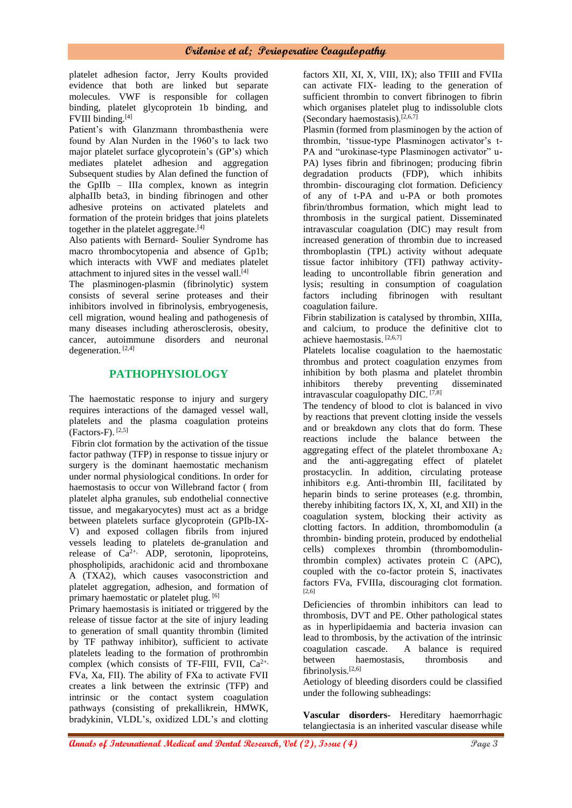platelet adhesion factor, Jerry Koults provided evidence that both are linked but separate molecules. VWF is responsible for collagen binding, platelet glycoprotein 1b binding, and FVIII binding.[4]

Patient's with Glanzmann thrombasthenia were found by Alan Nurden in the 1960's to lack two major platelet surface glycoprotein's (GP's) which mediates platelet adhesion and aggregation Subsequent studies by Alan defined the function of the GpIIb – IIIa complex, known as integrin alphaIIb beta3, in binding fibrinogen and other adhesive proteins on activated platelets and formation of the protein bridges that joins platelets together in the platelet aggregate.<sup>[4]</sup>

Also patients with Bernard- Soulier Syndrome has macro thrombocytopenia and absence of Gp1b; which interacts with VWF and mediates platelet attachment to injured sites in the vessel wall. $[4]$ 

The plasminogen-plasmin (fibrinolytic) system consists of several serine proteases and their inhibitors involved in fibrinolysis, embryogenesis, cell migration, wound healing and pathogenesis of many diseases including atherosclerosis, obesity, cancer, autoimmune disorders and neuronal degeneration. [2,4]

## **PATHOPHYSIOLOGY**

The haemostatic response to injury and surgery requires interactions of the damaged vessel wall, platelets and the plasma coagulation proteins  $(Factors-F).$ <sup>[2,5]</sup>

Fibrin clot formation by the activation of the tissue factor pathway (TFP) in response to tissue injury or surgery is the dominant haemostatic mechanism under normal physiological conditions. In order for haemostasis to occur von Willebrand factor ( from platelet alpha granules, sub endothelial connective tissue, and megakaryocytes) must act as a bridge between platelets surface glycoprotein (GPIb-IX-V) and exposed collagen fibrils from injured vessels leading to platelets de-granulation and release of  $Ca^{2+}$ , ADP, serotonin, lipoproteins, phospholipids, arachidonic acid and thromboxane A (TXA2), which causes vasoconstriction and platelet aggregation, adhesion, and formation of primary haemostatic or platelet plug. [6]

Primary haemostasis is initiated or triggered by the release of tissue factor at the site of injury leading to generation of small quantity thrombin (limited by TF pathway inhibitor), sufficient to activate platelets leading to the formation of prothrombin complex (which consists of TF-FIII, FVII, Ca<sup>2+,</sup> FVa, Xa, FII). The ability of FXa to activate FVII creates a link between the extrinsic (TFP) and intrinsic or the contact system coagulation pathways (consisting of prekallikrein, HMWK, bradykinin, VLDL's, oxidized LDL's and clotting

factors XII, XI, X, VIII, IX); also TFIII and FVIIa can activate FIX- leading to the generation of sufficient thrombin to convert fibrinogen to fibrin which organises platelet plug to indissoluble clots (Secondary haemostasis).<sup>[2,6,7]</sup>

Plasmin (formed from plasminogen by the action of thrombin, 'tissue-type Plasminogen activator's t-PA and "urokinase-type Plasminogen activator" u-PA) lyses fibrin and fibrinogen; producing fibrin degradation products (FDP), which inhibits thrombin- discouraging clot formation. Deficiency of any of t-PA and u-PA or both promotes fibrin/thrombus formation, which might lead to thrombosis in the surgical patient. Disseminated intravascular coagulation (DIC) may result from increased generation of thrombin due to increased thromboplastin (TPL) activity without adequate tissue factor inhibitory (TFI) pathway activityleading to uncontrollable fibrin generation and lysis; resulting in consumption of coagulation factors including fibrinogen with resultant coagulation failure.

Fibrin stabilization is catalysed by thrombin, XIIIa, and calcium, to produce the definitive clot to achieve haemostasis. [2,6,7]

Platelets localise coagulation to the haemostatic thrombus and protect coagulation enzymes from inhibition by both plasma and platelet thrombin inhibitors thereby preventing disseminated intravascular coagulopathy DIC. [7,8]

The tendency of blood to clot is balanced in vivo by reactions that prevent clotting inside the vessels and or breakdown any clots that do form. These reactions include the balance between the aggregating effect of the platelet thromboxane  $A_2$ and the anti-aggregating effect of platelet prostacyclin. In addition, circulating protease inhibitors e.g. Anti-thrombin III, facilitated by heparin binds to serine proteases (e.g. thrombin, thereby inhibiting factors IX, X, XI, and XII) in the coagulation system, blocking their activity as clotting factors. In addition, thrombomodulin (a thrombin- binding protein, produced by endothelial cells) complexes thrombin (thrombomodulinthrombin complex) activates protein C (APC), coupled with the co-factor protein S, inactivates factors FVa, FVIIIa, discouraging clot formation. [2,6]

Deficiencies of thrombin inhibitors can lead to thrombosis, DVT and PE. Other pathological states as in hyperlipidaemia and bacteria invasion can lead to thrombosis, by the activation of the intrinsic coagulation cascade. A balance is required between haemostasis, thrombosis and fibrinolysis.[2,6]

Aetiology of bleeding disorders could be classified under the following subheadings:

**Vascular disorders-** Hereditary haemorrhagic telangiectasia is an inherited vascular disease while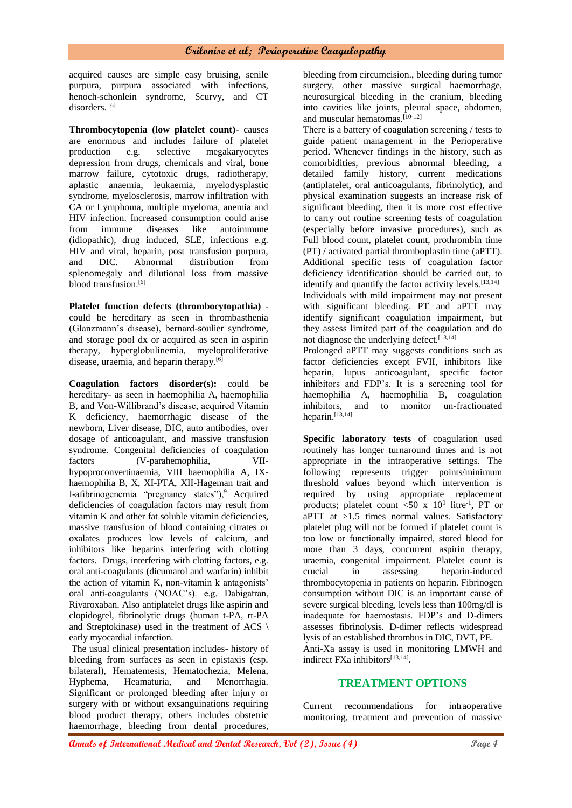acquired causes are simple easy bruising, senile purpura, purpura associated with infections, henoch-schonlein syndrome, Scurvy, and CT disorders.<sup>[6]</sup>

**Thrombocytopenia (low platelet count)-** causes are enormous and includes failure of platelet production e.g. selective megakaryocytes depression from drugs, chemicals and viral, bone marrow failure, cytotoxic drugs, radiotherapy, aplastic anaemia, leukaemia, myelodysplastic syndrome, myelosclerosis, marrow infiltration with CA or Lymphoma, multiple myeloma, anemia and HIV infection. Increased consumption could arise from immune diseases like autoimmune (idiopathic), drug induced, SLE, infections e.g. HIV and viral, heparin, post transfusion purpura, and DIC. Abnormal distribution from splenomegaly and dilutional loss from massive blood transfusion.<sup>[6]</sup>

**Platelet function defects (thrombocytopathia)** could be hereditary as seen in thrombasthenia (Glanzmann's disease), bernard-soulier syndrome, and storage pool dx or acquired as seen in aspirin therapy, hyperglobulinemia, myeloproliferative disease, uraemia, and heparin therapy.<sup>[6]</sup>

**Coagulation factors disorder(s):** could be hereditary- as seen in haemophilia A, haemophilia B, and Von-Willibrand's disease, acquired Vitamin K deficiency, haemorrhagic disease of the newborn, Liver disease, DIC, auto antibodies, over dosage of anticoagulant, and massive transfusion syndrome. Congenital deficiencies of coagulation factors (V-parahemophilia, VIIhypoproconvertinaemia, VIII haemophilia A, IXhaemophilia B, X, XI-PTA, XII-Hageman trait and I-afibrinogenemia "pregnancy states"), $9$  Acquired deficiencies of coagulation factors may result from vitamin K and other fat soluble vitamin deficiencies, massive transfusion of blood containing citrates or oxalates produces low levels of calcium, and inhibitors like heparins interfering with clotting factors. Drugs, interfering with clotting factors, e.g. oral anti-coagulants (dicumarol and warfarin) inhibit the action of vitamin K, non-vitamin k antagonists' oral anti-coagulants (NOAC's). e.g. Dabigatran, Rivaroxaban. Also antiplatelet drugs like aspirin and clopidogrel, fibrinolytic drugs (human t-PA, rt-PA and Streptokinase) used in the treatment of ACS \ early myocardial infarction.

The usual clinical presentation includes- history of bleeding from surfaces as seen in epistaxis (esp. bilateral), Hematemesis, Hematochezia, Melena, Hyphema, Heamaturia, and Menorrhagia. Significant or prolonged bleeding after injury or surgery with or without exsanguinations requiring blood product therapy, others includes obstetric haemorrhage, bleeding from dental procedures,

bleeding from circumcision., bleeding during tumor surgery, other massive surgical haemorrhage, neurosurgical bleeding in the cranium, bleeding into cavities like joints, pleural space, abdomen, and muscular hematomas.[10-12]

There is a battery of coagulation screening / tests to guide patient management in the Perioperative period**.** Whenever findings in the history, such as comorbidities, previous abnormal bleeding, a detailed family history, current medications (antiplatelet, oral anticoagulants, fibrinolytic), and physical examination suggests an increase risk of significant bleeding, then it is more cost effective to carry out routine screening tests of coagulation (especially before invasive procedures), such as Full blood count, platelet count, prothrombin time (PT) / activated partial thromboplastin time (aPTT). Additional specific tests of coagulation factor deficiency identification should be carried out, to identify and quantify the factor activity levels.<sup>[13,14]</sup> Individuals with mild impairment may not present with significant bleeding. PT and aPTT may identify significant coagulation impairment, but they assess limited part of the coagulation and do not diagnose the underlying defect.  $[13,14]$ 

Prolonged aPTT may suggests conditions such as factor deficiencies except FVII, inhibitors like heparin, lupus anticoagulant, specific factor inhibitors and FDP's. It is a screening tool for haemophilia A, haemophilia B, coagulation inhibitors, and to monitor un-fractionated heparin.[13,14].

**Specific laboratory tests** of coagulation used routinely has longer turnaround times and is not appropriate in the intraoperative settings. The following represents trigger points/minimum threshold values beyond which intervention is required by using appropriate replacement products; platelet count  $\langle 50 \times 10^9 \text{ litre}^{-1} \rangle$ , PT or aPTT at >1.5 times normal values. Satisfactory platelet plug will not be formed if platelet count is too low or functionally impaired, stored blood for more than 3 days, concurrent aspirin therapy, uraemia, congenital impairment. Platelet count is crucial in assessing heparin-induced thrombocytopenia in patients on heparin. Fibrinogen consumption without DIC is an important cause of severe surgical bleeding, levels less than 100mg/dl is inadequate for haemostasis. FDP's and D-dimers assesses fibrinolysis. D-dimer reflects widespread lysis of an established thrombus in DIC, DVT, PE. Anti-Xa assay is used in monitoring LMWH and indirect FXa inhibitors<sup>[13,14]</sup>.

## **TREATMENT OPTIONS**

Current recommendations for intraoperative monitoring, treatment and prevention of massive